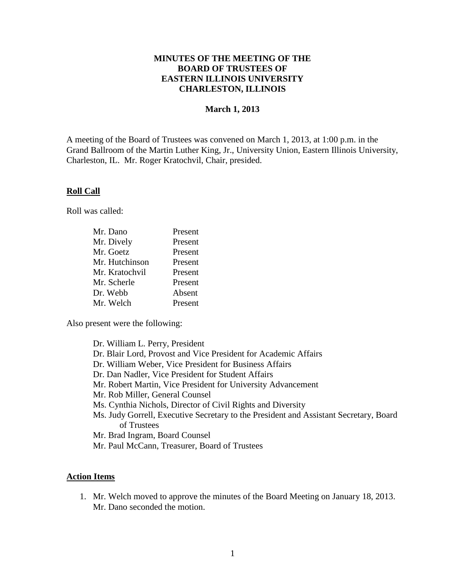## **MINUTES OF THE MEETING OF THE BOARD OF TRUSTEES OF EASTERN ILLINOIS UNIVERSITY CHARLESTON, ILLINOIS**

### **March 1, 2013**

A meeting of the Board of Trustees was convened on March 1, 2013, at 1:00 p.m. in the Grand Ballroom of the Martin Luther King, Jr., University Union, Eastern Illinois University, Charleston, IL. Mr. Roger Kratochvil, Chair, presided.

#### **Roll Call**

Roll was called:

| Mr. Dano       | Present |
|----------------|---------|
| Mr. Dively     | Present |
| Mr. Goetz      | Present |
| Mr. Hutchinson | Present |
| Mr. Kratochvil | Present |
| Mr. Scherle    | Present |
| Dr. Webb       | Absent  |
| Mr. Welch      | Present |

Also present were the following:

Dr. William L. Perry, President Dr. Blair Lord, Provost and Vice President for Academic Affairs Dr. William Weber, Vice President for Business Affairs Dr. Dan Nadler, Vice President for Student Affairs Mr. Robert Martin, Vice President for University Advancement Mr. Rob Miller, General Counsel Ms. Cynthia Nichols, Director of Civil Rights and Diversity Ms. Judy Gorrell, Executive Secretary to the President and Assistant Secretary, Board of Trustees Mr. Brad Ingram, Board Counsel Mr. Paul McCann, Treasurer, Board of Trustees

### **Action Items**

1. Mr. Welch moved to approve the minutes of the Board Meeting on January 18, 2013. Mr. Dano seconded the motion.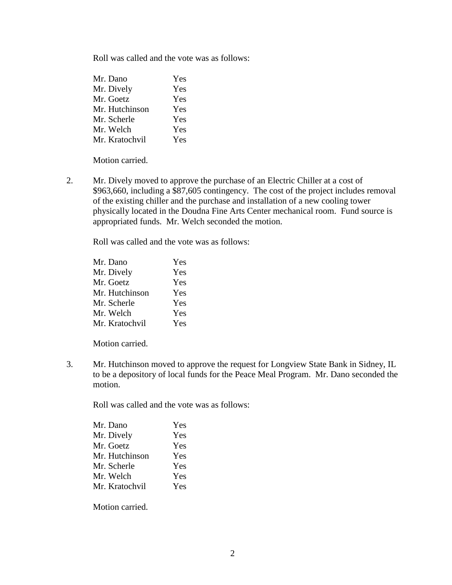Roll was called and the vote was as follows:

| Mr. Dano       | Yes |
|----------------|-----|
| Mr. Dively     | Yes |
| Mr. Goetz      | Yes |
| Mr. Hutchinson | Yes |
| Mr. Scherle    | Yes |
| Mr. Welch      | Yes |
| Mr. Kratochvil | Yes |

Motion carried.

2. Mr. Dively moved to approve the purchase of an Electric Chiller at a cost of \$963,660, including a \$87,605 contingency. The cost of the project includes removal of the existing chiller and the purchase and installation of a new cooling tower physically located in the Doudna Fine Arts Center mechanical room. Fund source is appropriated funds. Mr. Welch seconded the motion.

Roll was called and the vote was as follows:

| Mr. Dano       | Yes |
|----------------|-----|
| Mr. Dively     | Yes |
| Mr. Goetz      | Yes |
| Mr. Hutchinson | Yes |
| Mr. Scherle    | Yes |
| Mr. Welch      | Yes |
| Mr. Kratochvil | Yes |

Motion carried.

3. Mr. Hutchinson moved to approve the request for Longview State Bank in Sidney, IL to be a depository of local funds for the Peace Meal Program. Mr. Dano seconded the motion.

Roll was called and the vote was as follows:

| Mr. Dano       | Yes |
|----------------|-----|
| Mr. Dively     | Yes |
| Mr. Goetz      | Yes |
| Mr. Hutchinson | Yes |
| Mr. Scherle    | Yes |
| Mr. Welch      | Yes |
| Mr. Kratochvil | Yes |
|                |     |

Motion carried.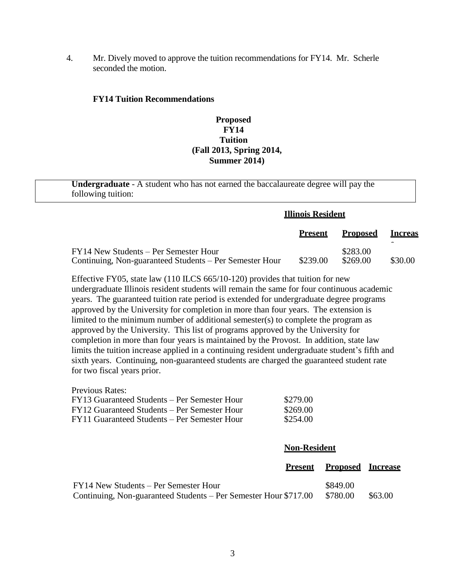4. Mr. Dively moved to approve the tuition recommendations for FY14. Mr. Scherle seconded the motion.

### **FY14 Tuition Recommendations**

# **Proposed FY14 Tuition (Fall 2013, Spring 2014, Summer 2014)**

**Undergraduate** - A student who has not earned the baccalaureate degree will pay the following tuition:

|                                                                                                  | <b>Illinois Resident</b> |                      |                     |
|--------------------------------------------------------------------------------------------------|--------------------------|----------------------|---------------------|
|                                                                                                  | Present                  | <b>Proposed</b>      | <b>Increas</b><br>- |
| FY14 New Students – Per Semester Hour<br>Continuing, Non-guaranteed Students – Per Semester Hour | \$239.00                 | \$283.00<br>\$269.00 | \$30.00             |

Effective FY05, state law (110 ILCS 665/10-120) provides that tuition for new undergraduate Illinois resident students will remain the same for four continuous academic years. The guaranteed tuition rate period is extended for undergraduate degree programs approved by the University for completion in more than four years. The extension is limited to the minimum number of additional semester(s) to complete the program as approved by the University. This list of programs approved by the University for completion in more than four years is maintained by the Provost. In addition, state law limits the tuition increase applied in a continuing resident undergraduate student's fifth and sixth years. Continuing, non-guaranteed students are charged the guaranteed student rate for two fiscal years prior.

| <b>Previous Rates:</b>                       |          |
|----------------------------------------------|----------|
| FY13 Guaranteed Students – Per Semester Hour | \$279.00 |
| FY12 Guaranteed Students – Per Semester Hour | \$269.00 |
| FY11 Guaranteed Students – Per Semester Hour | \$254.00 |

## **Non-Resident**

|                                                                  | Present | <b>Proposed Increase</b> |         |
|------------------------------------------------------------------|---------|--------------------------|---------|
| FY14 New Students – Per Semester Hour                            |         | \$849.00                 |         |
| Continuing, Non-guaranteed Students – Per Semester Hour \$717.00 |         | \$780.00                 | \$63.00 |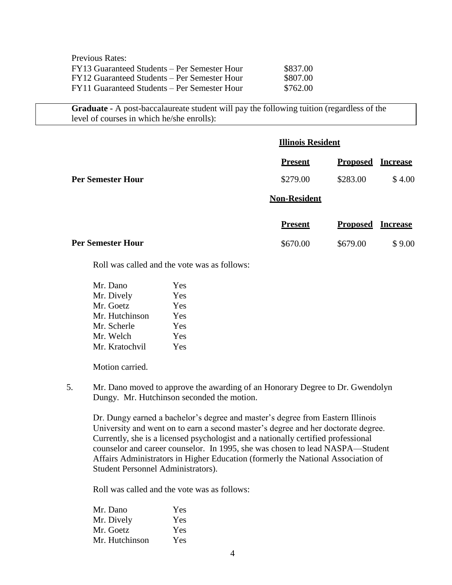| <b>Previous Rates:</b>                       |          |
|----------------------------------------------|----------|
| FY13 Guaranteed Students – Per Semester Hour | \$837.00 |
| FY12 Guaranteed Students – Per Semester Hour | \$807.00 |
| FY11 Guaranteed Students – Per Semester Hour | \$762.00 |

**Graduate -** A post-baccalaureate student will pay the following tuition (regardless of the level of courses in which he/she enrolls):

|                          | <b>Illinois Resident</b> |                 |                 |
|--------------------------|--------------------------|-----------------|-----------------|
|                          | <b>Present</b>           | <b>Proposed</b> | <b>Increase</b> |
| <b>Per Semester Hour</b> | \$279.00                 | \$283.00        | \$4.00          |
|                          | <b>Non-Resident</b>      |                 |                 |
|                          | <b>Present</b>           | <b>Proposed</b> | <b>Increase</b> |
| <b>Per Semester Hour</b> | \$670.00                 | \$679.00        | \$9.00          |

Roll was called and the vote was as follows:

| Mr. Dano       | Yes |
|----------------|-----|
| Mr. Dively     | Yes |
| Mr. Goetz      | Yes |
| Mr. Hutchinson | Yes |
| Mr. Scherle    | Yes |
| Mr. Welch      | Yes |
| Mr. Kratochvil | Yes |

Motion carried.

5. Mr. Dano moved to approve the awarding of an Honorary Degree to Dr. Gwendolyn Dungy. Mr. Hutchinson seconded the motion.

Dr. Dungy earned a bachelor's degree and master's degree from Eastern Illinois University and went on to earn a second master's degree and her doctorate degree. Currently, she is a licensed psychologist and a nationally certified professional counselor and career counselor. In 1995, she was chosen to lead NASPA—Student Affairs Administrators in Higher Education (formerly the National Association of Student Personnel Administrators).

Roll was called and the vote was as follows:

| Mr. Dano       | Yes |
|----------------|-----|
| Mr. Dively     | Yes |
| Mr. Goetz      | Yes |
| Mr. Hutchinson | Yes |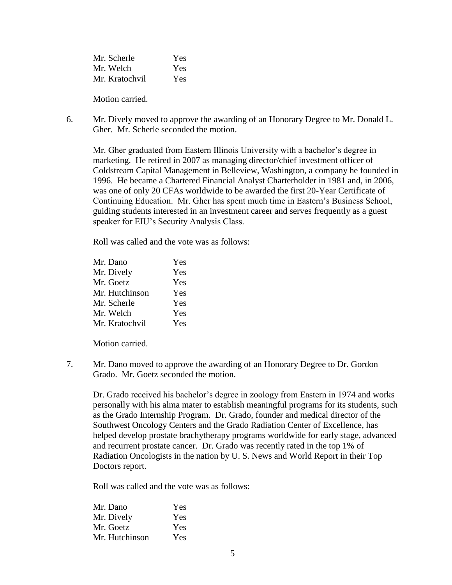Mr. Scherle Yes Mr. Welch Yes Mr. Kratochvil Yes

Motion carried.

6. Mr. Dively moved to approve the awarding of an Honorary Degree to Mr. Donald L. Gher. Mr. Scherle seconded the motion.

Mr. Gher graduated from Eastern Illinois University with a bachelor's degree in marketing. He retired in 2007 as managing director/chief investment officer of Coldstream Capital Management in Belleview, Washington, a company he founded in 1996. He became a Chartered Financial Analyst Charterholder in 1981 and, in 2006, was one of only 20 CFAs worldwide to be awarded the first 20-Year Certificate of Continuing Education. Mr. Gher has spent much time in Eastern's Business School, guiding students interested in an investment career and serves frequently as a guest speaker for EIU's Security Analysis Class.

Roll was called and the vote was as follows:

| Mr. Dano       | Yes        |
|----------------|------------|
| Mr. Dively     | Yes        |
| Mr. Goetz      | <b>Yes</b> |
| Mr. Hutchinson | Yes        |
| Mr. Scherle    | Yes        |
| Mr. Welch      | Yes        |
| Mr. Kratochvil | Yes        |

Motion carried.

7. Mr. Dano moved to approve the awarding of an Honorary Degree to Dr. Gordon Grado. Mr. Goetz seconded the motion.

Dr. Grado received his bachelor's degree in zoology from Eastern in 1974 and works personally with his alma mater to establish meaningful programs for its students, such as the Grado Internship Program. Dr. Grado, founder and medical director of the Southwest Oncology Centers and the Grado Radiation Center of Excellence, has helped develop prostate brachytherapy programs worldwide for early stage, advanced and recurrent prostate cancer. Dr. Grado was recently rated in the top 1% of Radiation Oncologists in the nation by U. S. News and World Report in their Top Doctors report.

Roll was called and the vote was as follows:

| Mr. Dano       | Yes |
|----------------|-----|
| Mr. Dively     | Yes |
| Mr. Goetz      | Yes |
| Mr. Hutchinson | Yes |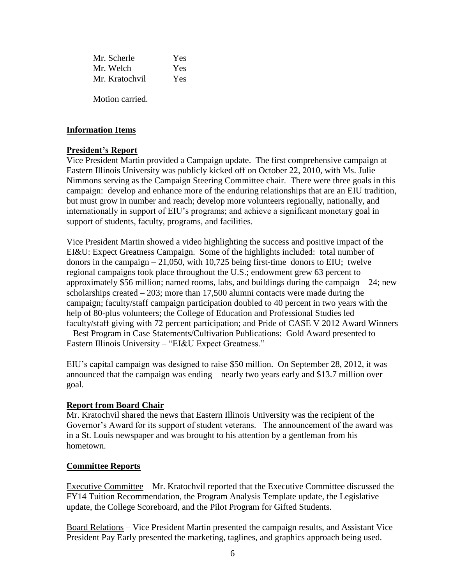| Yes |
|-----|
| Yes |
| Yes |
|     |

Motion carried.

# **Information Items**

# **President's Report**

Vice President Martin provided a Campaign update. The first comprehensive campaign at Eastern Illinois University was publicly kicked off on October 22, 2010, with Ms. Julie Nimmons serving as the Campaign Steering Committee chair. There were three goals in this campaign: develop and enhance more of the enduring relationships that are an EIU tradition, but must grow in number and reach; develop more volunteers regionally, nationally, and internationally in support of EIU's programs; and achieve a significant monetary goal in support of students, faculty, programs, and facilities.

Vice President Martin showed a video highlighting the success and positive impact of the EI&U: Expect Greatness Campaign. Some of the highlights included: total number of donors in the campaign  $-21,050$ , with 10,725 being first-time donors to EIU; twelve regional campaigns took place throughout the U.S.; endowment grew 63 percent to approximately \$56 million; named rooms, labs, and buildings during the campaign – 24; new scholarships created – 203; more than 17,500 alumni contacts were made during the campaign; faculty/staff campaign participation doubled to 40 percent in two years with the help of 80-plus volunteers; the College of Education and Professional Studies led faculty/staff giving with 72 percent participation; and Pride of CASE V 2012 Award Winners – Best Program in Case Statements/Cultivation Publications: Gold Award presented to Eastern Illinois University – "EI&U Expect Greatness."

EIU's capital campaign was designed to raise \$50 million. On September 28, 2012, it was announced that the campaign was ending—nearly two years early and \$13.7 million over goal.

# **Report from Board Chair**

Mr. Kratochvil shared the news that Eastern Illinois University was the recipient of the Governor's Award for its support of student veterans. The announcement of the award was in a St. Louis newspaper and was brought to his attention by a gentleman from his hometown.

# **Committee Reports**

Executive Committee – Mr. Kratochvil reported that the Executive Committee discussed the FY14 Tuition Recommendation, the Program Analysis Template update, the Legislative update, the College Scoreboard, and the Pilot Program for Gifted Students.

Board Relations – Vice President Martin presented the campaign results, and Assistant Vice President Pay Early presented the marketing, taglines, and graphics approach being used.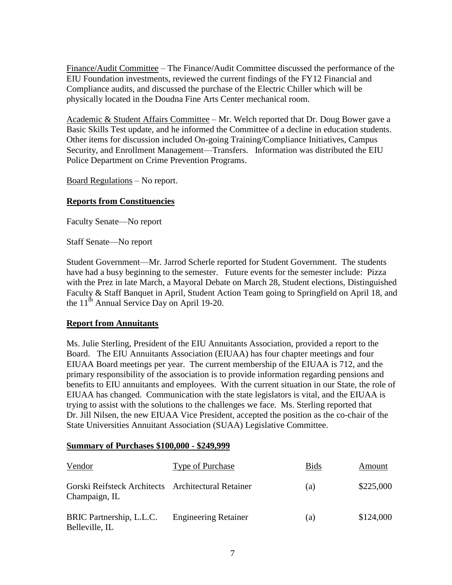Finance/Audit Committee – The Finance/Audit Committee discussed the performance of the EIU Foundation investments, reviewed the current findings of the FY12 Financial and Compliance audits, and discussed the purchase of the Electric Chiller which will be physically located in the Doudna Fine Arts Center mechanical room.

Academic & Student Affairs Committee – Mr. Welch reported that Dr. Doug Bower gave a Basic Skills Test update, and he informed the Committee of a decline in education students. Other items for discussion included On-going Training/Compliance Initiatives, Campus Security, and Enrollment Management—Transfers. Information was distributed the EIU Police Department on Crime Prevention Programs.

Board Regulations – No report.

## **Reports from Constituencies**

Faculty Senate—No report

Staff Senate—No report

Student Government—Mr. Jarrod Scherle reported for Student Government. The students have had a busy beginning to the semester. Future events for the semester include: Pizza with the Prez in late March, a Mayoral Debate on March 28, Student elections, Distinguished Faculty & Staff Banquet in April, Student Action Team going to Springfield on April 18, and the  $11^{\text{th}}$  Annual Service Day on April 19-20.

## **Report from Annuitants**

Ms. Julie Sterling, President of the EIU Annuitants Association, provided a report to the Board. The EIU Annuitants Association (EIUAA) has four chapter meetings and four EIUAA Board meetings per year. The current membership of the EIUAA is 712, and the primary responsibility of the association is to provide information regarding pensions and benefits to EIU annuitants and employees. With the current situation in our State, the role of EIUAA has changed. Communication with the state legislators is vital, and the EIUAA is trying to assist with the solutions to the challenges we face. Ms. Sterling reported that Dr. Jill Nilsen, the new EIUAA Vice President, accepted the position as the co-chair of the State Universities Annuitant Association (SUAA) Legislative Committee.

### **Summary of Purchases \$100,000 - \$249,999**

| Vendor                                                              | Type of Purchase            | <b>Bids</b> | Amount    |
|---------------------------------------------------------------------|-----------------------------|-------------|-----------|
| Gorski Reifsteck Architects Architectural Retainer<br>Champaign, IL |                             | (a)         | \$225,000 |
| BRIC Partnership, L.L.C.<br>Belleville, IL                          | <b>Engineering Retainer</b> | (a)         | \$124,000 |